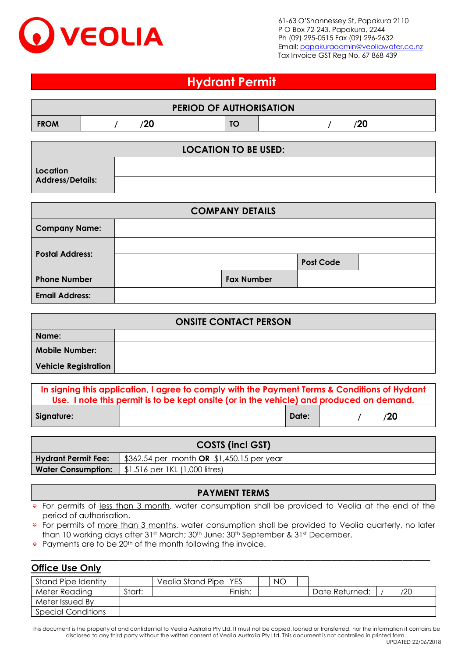

## **Hydrant Permit**

|             | <b>PERIOD OF AUTHORISATION</b> |    |  |  |             |  |  |  |
|-------------|--------------------------------|----|--|--|-------------|--|--|--|
| <b>FROM</b> |                                | 20 |  |  | חרי<br>74 U |  |  |  |

| <b>LOCATION TO BE USED:</b> |  |  |  |  |  |
|-----------------------------|--|--|--|--|--|
| Location                    |  |  |  |  |  |
| <b>Address/Details:</b>     |  |  |  |  |  |

| <b>COMPANY DETAILS</b> |  |                   |                  |  |  |  |  |
|------------------------|--|-------------------|------------------|--|--|--|--|
| <b>Company Name:</b>   |  |                   |                  |  |  |  |  |
| <b>Postal Address:</b> |  |                   |                  |  |  |  |  |
|                        |  |                   | <b>Post Code</b> |  |  |  |  |
| <b>Phone Number</b>    |  | <b>Fax Number</b> |                  |  |  |  |  |
| <b>Email Address:</b>  |  |                   |                  |  |  |  |  |

|                             | <b>ONSITE CONTACT PERSON</b> |  |  |  |
|-----------------------------|------------------------------|--|--|--|
| Name:                       |                              |  |  |  |
| <b>Mobile Number:</b>       |                              |  |  |  |
| <b>Vehicle Registration</b> |                              |  |  |  |

| In signing this application, I agree to comply with the Payment Terms & Conditions of Hydrant<br>Use. I note this permit is to be kept onsite (or in the vehicle) and produced on demand. |  |              |  |  |     |  |
|-------------------------------------------------------------------------------------------------------------------------------------------------------------------------------------------|--|--------------|--|--|-----|--|
| Signature:                                                                                                                                                                                |  | <b>Date:</b> |  |  | /20 |  |

| <b>COSTS (incl GST)</b>    |                                                                                                                                 |  |  |  |  |
|----------------------------|---------------------------------------------------------------------------------------------------------------------------------|--|--|--|--|
| <b>Hydrant Permit Fee:</b> | $\frac{1}{2}$ \$362.54 per month <b>OR</b> \$1,450.15 per year                                                                  |  |  |  |  |
|                            | <b>Water Consumption:</b> $\left  \begin{array}{c} 1.516 \text{ per } 1 \text{ KL } (1,000 \text{ litres}) \end{array} \right $ |  |  |  |  |

## **PAYMENT TERMS**

 $\circ$ For permits of less than 3 month, water consumption shall be provided to Veolia at the end of the period of authorisation.

 $\odot$ For permits of more than 3 months, water consumption shall be provided to Veolia quarterly, no later than 10 working days after 31st March; 30th June; 30th September & 31st December.

\_\_\_\_\_\_\_\_\_\_\_\_\_\_\_\_\_\_\_\_\_\_\_\_\_\_\_\_\_\_\_\_\_\_\_\_\_\_\_\_\_\_\_\_\_\_\_\_\_\_\_\_\_\_\_\_\_\_\_\_\_\_\_\_\_\_\_\_\_\_\_\_\_

Payments are to be 20<sup>th</sup> of the month following the invoice.  $\bullet$ 

## **Office Use Only**

| Stand Pipe Identity       |        | Veolia Stand Pipe YES |         | NO |                |    |
|---------------------------|--------|-----------------------|---------|----|----------------|----|
| Meter Reading             | Start: |                       | Finish: |    | Date Returned: | 20 |
| Meter Issued By           |        |                       |         |    |                |    |
| <b>Special Conditions</b> |        |                       |         |    |                |    |

This document is the property of and confidential to Veolia Australia Pty Ltd. It must not be copied, loaned or transferred, nor the information it contains be disclosed to any third party without the written consent of Veolia Australia Pty Ltd. This document is not controlled in printed form.